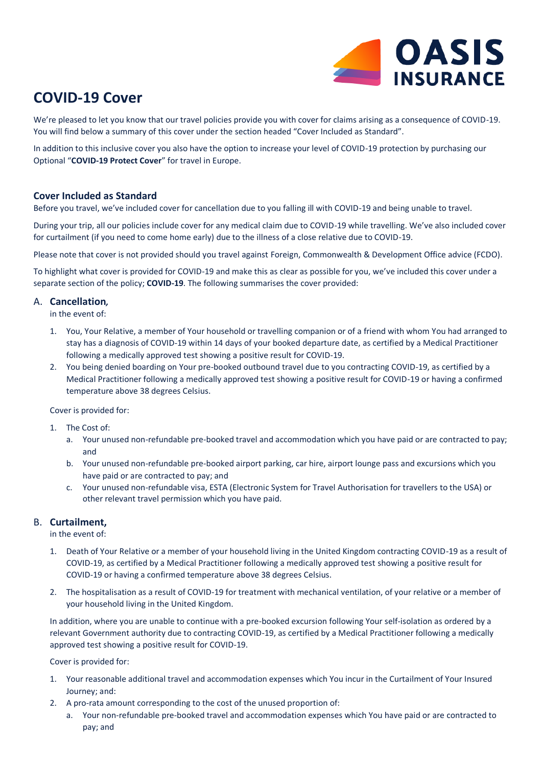

# **COVID-19 Cover**

We're pleased to let you know that our travel policies provide you with cover for claims arising as a consequence of COVID-19. You will find below a summary of this cover under the section headed "Cover Included as Standard".

In addition to this inclusive cover you also have the option to increase your level of COVID-19 protection by purchasing our Optional "**COVID-19 Protect Cover**" for travel in Europe.

## **Cover Included as Standard**

Before you travel, we've included cover for cancellation due to you falling ill with COVID-19 and being unable to travel.

During your trip, all our policies include cover for any medical claim due to COVID-19 while travelling. We've also included cover for curtailment (if you need to come home early) due to the illness of a close relative due to COVID-19.

Please note that cover is not provided should you travel against Foreign, Commonwealth & Development Office advice (FCDO).

To highlight what cover is provided for COVID-19 and make this as clear as possible for you, we've included this cover under a separate section of the policy; **COVID-19**. The following summarises the cover provided:

#### A. **Cancellation***,*

in the event of:

- 1. You, Your Relative, a member of Your household or travelling companion or of a friend with whom You had arranged to stay has a diagnosis of COVID-19 within 14 days of your booked departure date, as certified by a Medical Practitioner following a medically approved test showing a positive result for COVID-19.
- 2. You being denied boarding on Your pre-booked outbound travel due to you contracting COVID-19, as certified by a Medical Practitioner following a medically approved test showing a positive result for COVID-19 or having a confirmed temperature above 38 degrees Celsius.

Cover is provided for:

- 1. The Cost of:
	- a. Your unused non-refundable pre-booked travel and accommodation which you have paid or are contracted to pay; and
	- b. Your unused non-refundable pre-booked airport parking, car hire, airport lounge pass and excursions which you have paid or are contracted to pay; and
	- c. Your unused non-refundable visa, ESTA (Electronic System for Travel Authorisation for travellers to the USA) or other relevant travel permission which you have paid.

## B. **Curtailment,**

in the event of:

- 1. Death of Your Relative or a member of your household living in the United Kingdom contracting COVID-19 as a result of COVID-19, as certified by a Medical Practitioner following a medically approved test showing a positive result for COVID-19 or having a confirmed temperature above 38 degrees Celsius.
- 2. The hospitalisation as a result of COVID-19 for treatment with mechanical ventilation, of your relative or a member of your household living in the United Kingdom.

In addition, where you are unable to continue with a pre-booked excursion following Your self-isolation as ordered by a relevant Government authority due to contracting COVID-19, as certified by a Medical Practitioner following a medically approved test showing a positive result for COVID-19.

Cover is provided for:

- 1. Your reasonable additional travel and accommodation expenses which You incur in the Curtailment of Your Insured Journey; and:
- 2. A pro-rata amount corresponding to the cost of the unused proportion of:
	- a. Your non-refundable pre-booked travel and accommodation expenses which You have paid or are contracted to pay; and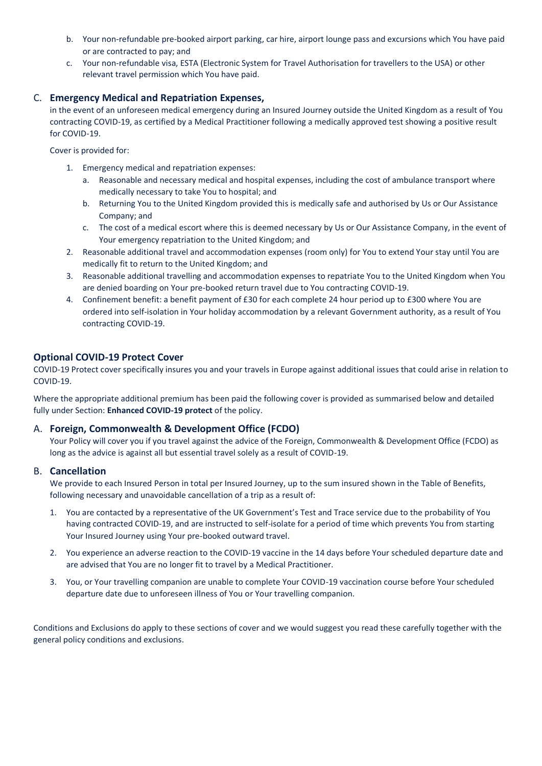- b. Your non-refundable pre-booked airport parking, car hire, airport lounge pass and excursions which You have paid or are contracted to pay; and
- c. Your non-refundable visa, ESTA (Electronic System for Travel Authorisation for travellers to the USA) or other relevant travel permission which You have paid.

## C. **Emergency Medical and Repatriation Expenses,**

in the event of an unforeseen medical emergency during an Insured Journey outside the United Kingdom as a result of You contracting COVID-19, as certified by a Medical Practitioner following a medically approved test showing a positive result for COVID-19.

Cover is provided for:

- 1. Emergency medical and repatriation expenses:
	- a. Reasonable and necessary medical and hospital expenses, including the cost of ambulance transport where medically necessary to take You to hospital; and
	- b. Returning You to the United Kingdom provided this is medically safe and authorised by Us or Our Assistance Company; and
	- c. The cost of a medical escort where this is deemed necessary by Us or Our Assistance Company, in the event of Your emergency repatriation to the United Kingdom; and
- 2. Reasonable additional travel and accommodation expenses (room only) for You to extend Your stay until You are medically fit to return to the United Kingdom; and
- 3. Reasonable additional travelling and accommodation expenses to repatriate You to the United Kingdom when You are denied boarding on Your pre-booked return travel due to You contracting COVID-19.
- 4. Confinement benefit: a benefit payment of £30 for each complete 24 hour period up to £300 where You are ordered into self-isolation in Your holiday accommodation by a relevant Government authority, as a result of You contracting COVID-19.

## **Optional COVID-19 Protect Cover**

COVID-19 Protect cover specifically insures you and your travels in Europe against additional issues that could arise in relation to COVID-19.

Where the appropriate additional premium has been paid the following cover is provided as summarised below and detailed fully under Section: **Enhanced COVID-19 protect** of the policy.

#### A. **Foreign, Commonwealth & Development Office (FCDO)**

Your Policy will cover you if you travel against the advice of the Foreign, Commonwealth & Development Office (FCDO) as long as the advice is against all but essential travel solely as a result of COVID-19.

#### B. **Cancellation**

We provide to each Insured Person in total per Insured Journey, up to the sum insured shown in the Table of Benefits, following necessary and unavoidable cancellation of a trip as a result of:

- 1. You are contacted by a representative of the UK Government's Test and Trace service due to the probability of You having contracted COVID-19, and are instructed to self-isolate for a period of time which prevents You from starting Your Insured Journey using Your pre-booked outward travel.
- 2. You experience an adverse reaction to the COVID-19 vaccine in the 14 days before Your scheduled departure date and are advised that You are no longer fit to travel by a Medical Practitioner.
- 3. You, or Your travelling companion are unable to complete Your COVID-19 vaccination course before Your scheduled departure date due to unforeseen illness of You or Your travelling companion.

Conditions and Exclusions do apply to these sections of cover and we would suggest you read these carefully together with the general policy conditions and exclusions.